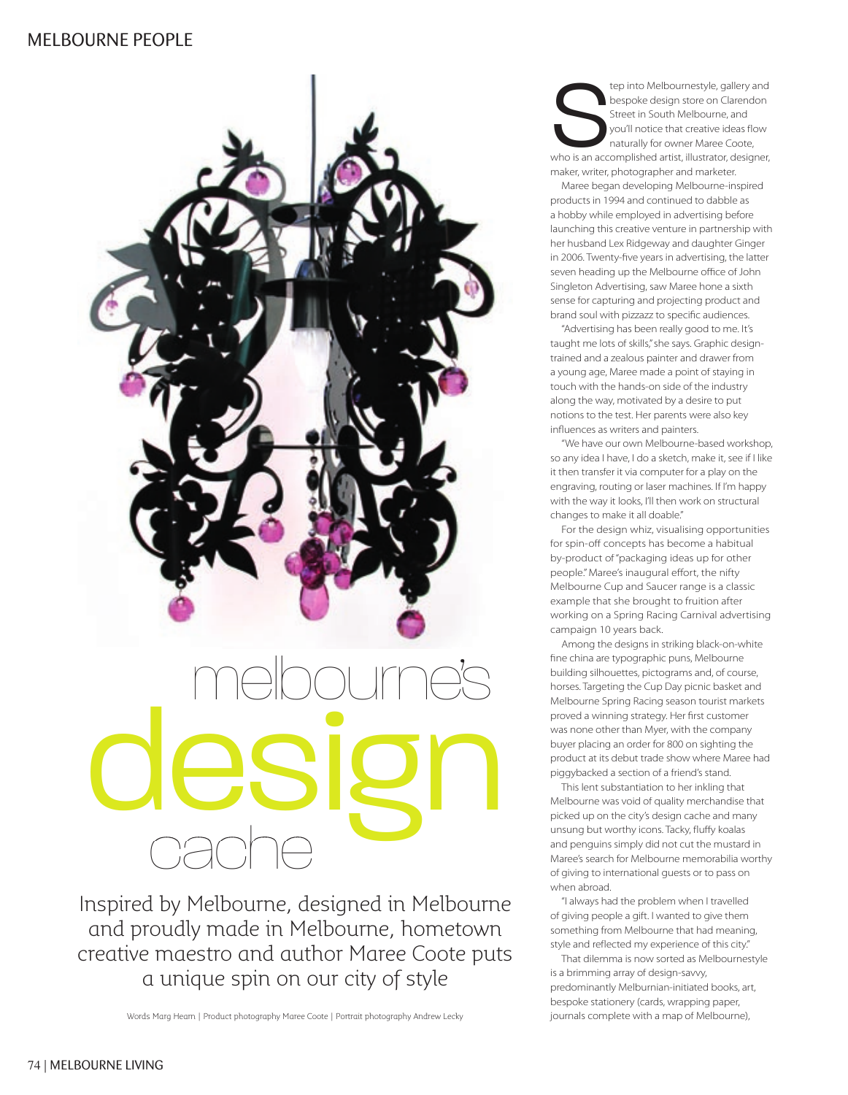## MELBOURNE PEOPLE



Inspired by Melbourne, designed in Melbourne and proudly made in Melbourne, hometown creative maestro and author Maree Coote puts a unique spin on our city of style

Words Marg Hearn | Product photography Maree Coote | Portrait photography Andrew Lecky

tep into Melbournestyle, gallery and<br>bespoke design store on Clarendon<br>Street in South Melbourne, and<br>you'll notice that creative ideas flow<br>naturally for owner Maree Coote,<br>who is an accomplished artist, illustrator, desi bespoke design store on Clarendon Street in South Melbourne, and you'll notice that creative ideas flow naturally for owner Maree Coote, who is an accomplished artist, illustrator, designer, maker, writer, photographer and marketer.

Maree began developing Melbourne-inspired products in 1994 and continued to dabble as a hobby while employed in advertising before launching this creative venture in partnership with her husband Lex Ridgeway and daughter Ginger in 2006. Twenty-five years in advertising, the latter seven heading up the Melbourne office of John Singleton Advertising, saw Maree hone a sixth sense for capturing and projecting product and brand soul with pizzazz to specific audiences.

"Advertising has been really good to me. It's taught me lots of skills," she says. Graphic designtrained and a zealous painter and drawer from a young age, Maree made a point of staying in touch with the hands-on side of the industry along the way, motivated by a desire to put notions to the test. Her parents were also key influences as writers and painters.

"We have our own Melbourne-based workshop, so any idea I have, I do a sketch, make it, see if I like it then transfer it via computer for a play on the engraving, routing or laser machines. If I'm happy with the way it looks, I'll then work on structural changes to make it all doable."

For the design whiz, visualising opportunities for spin-off concepts has become a habitual by-product of "packaging ideas up for other people." Maree's inaugural effort, the nifty Melbourne Cup and Saucer range is a classic example that she brought to fruition after working on a Spring Racing Carnival advertising campaign 10 years back.

Among the designs in striking black-on-white fine china are typographic puns, Melbourne building silhouettes, pictograms and, of course, horses. Targeting the Cup Day picnic basket and Melbourne Spring Racing season tourist markets proved a winning strategy. Her first customer was none other than Myer, with the company buyer placing an order for 800 on sighting the product at its debut trade show where Maree had piggybacked a section of a friend's stand.

This lent substantiation to her inkling that Melbourne was void of quality merchandise that picked up on the city's design cache and many unsung but worthy icons. Tacky, fluffy koalas and penguins simply did not cut the mustard in Maree's search for Melbourne memorabilia worthy of giving to international guests or to pass on when abroad.

"I always had the problem when I travelled of giving people a gift. I wanted to give them something from Melbourne that had meaning, style and reflected my experience of this city."

That dilemma is now sorted as Melbournestyle is a brimming array of design-savvy, predominantly Melburnian-initiated books, art, bespoke stationery (cards, wrapping paper, journals complete with a map of Melbourne),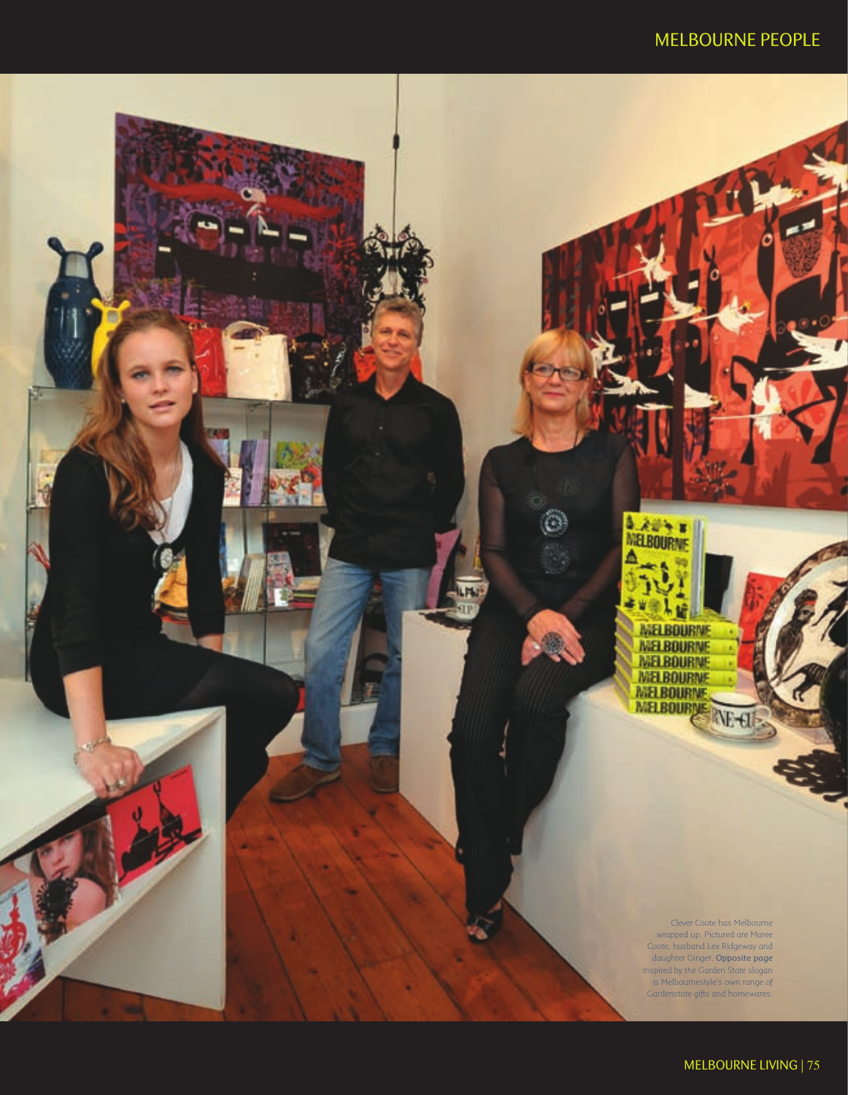**A AUX E MELBOURN! MELBOURNE MELBOURNE** MELBOURNE **MELBOURNE** 

A

Clever Coote has Melbourne wrapped up. Pictured are Maree Coote, husband Lex Ridgeway and daughter Ginger. Opposite page Inspired by the Garden State slogan is Melbournestyle's own range of Gardenstate gifts and homewares.

œ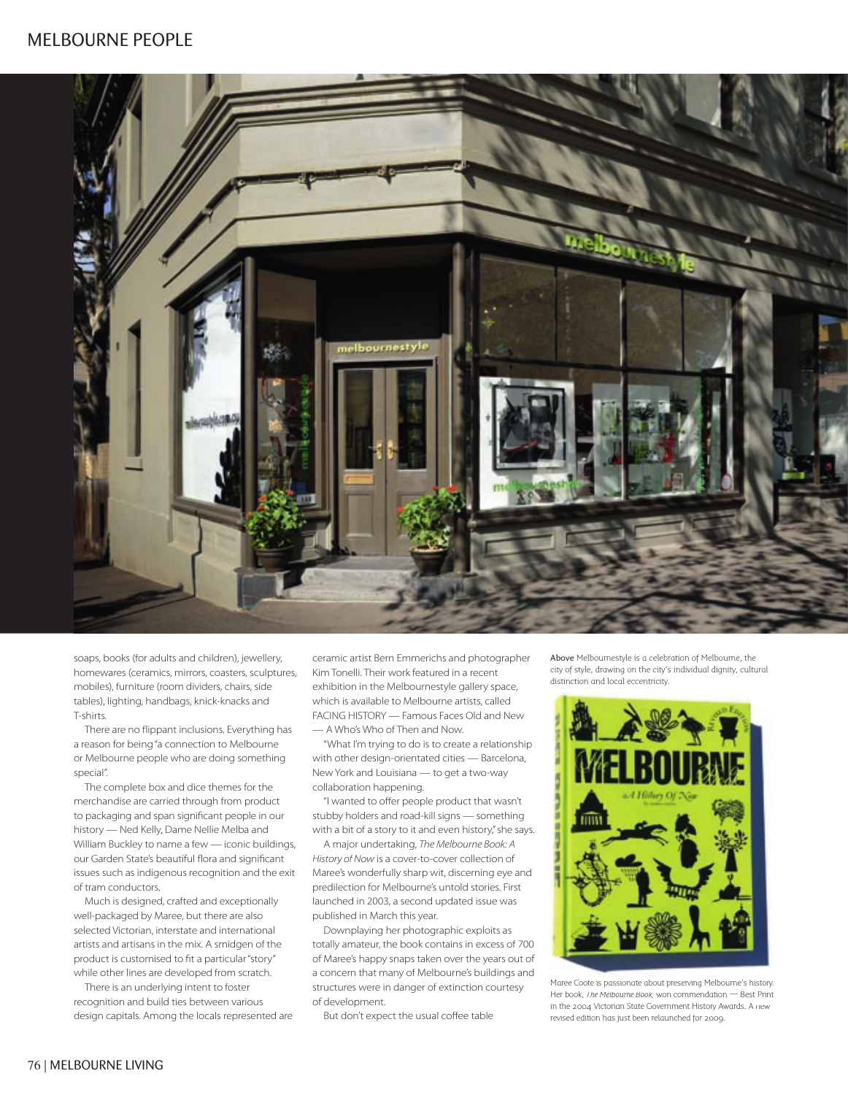

soaps, books (for adults and children), jewellery, homewares (ceramics, mirrors, coasters, sculptures, mobiles), furniture (room dividers, chairs, side tables), lighting, handbags, knick-knacks and T-shirts.

There are no flippant inclusions. Everything has a reason for being "a connection to Melbourne or Melbourne people who are doing something special".

The complete box and dice themes for the merchandise are carried through from product to packaging and span significant people in our history — Ned Kelly, Dame Nellie Melba and William Buckley to name a few — iconic buildings, our Garden State's beautiful flora and significant issues such as indigenous recognition and the exit of tram conductors.

Much is designed, crafted and exceptionally well-packaged by Maree, but there are also selected Victorian, interstate and international artists and artisans in the mix. A smidgen of the product is customised to fit a particular "story" while other lines are developed from scratch.

There is an underlying intent to foster recognition and build ties between various design capitals. Among the locals represented are ceramic artist Bern Emmerichs and photographer Kim Tonelli. Their work featured in a recent exhibition in the Melbournestyle gallery space, which is available to Melbourne artists, called FACING HISTORY — Famous Faces Old and New — A Who's Who of Then and Now.

"What I'm trying to do is to create a relationship with other design-orientated cities — Barcelona, New York and Louisiana — to get a two-way collaboration happening.

"I wanted to offer people product that wasn't stubby holders and road-kill signs — something with a bit of a story to it and even history," she says.

A major undertaking, The Melbourne Book: A History of Nowl is a cover-to-cover collection of Maree's wonderfully sharp wit, discerning eye and predilection for Melbourne's untold stories. First launched in 2003, a second updated issue was published in March this year.

Downplaying her photographic exploits as totally amateur, the book contains in excess of 700 of Maree's happy snaps taken over the years out of a concern that many of Melbourne's buildings and structures were in danger of extinction courtesy of development.

But don't expect the usual coffee table

Above Melbournestyle is a celebration of Melbourne, the city of style, drawing on the city's individual dignity, cultural distinction and local eccentricity.



Maree Coote is passionate about preserving Melbourne's history. Her book, *The Melbourne Book,* won commendation — Best Print in the 2004 Victorian State Government History Awards. A new revised edition has just been relaunched for 2009.